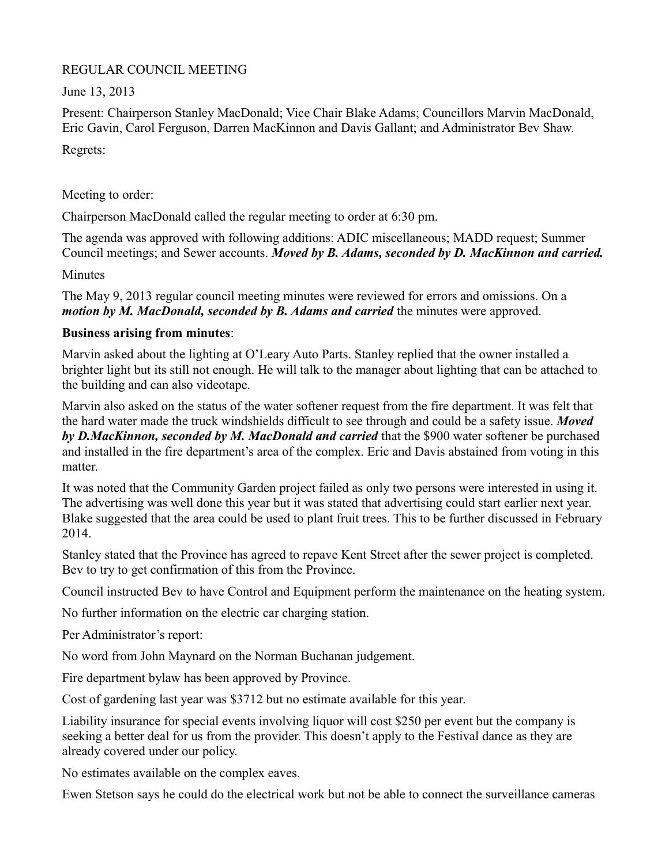# REGULAR COUNCIL MEETING

June 13, 2013

Present: Chairperson Stanley MacDonald; Vice Chair Blake Adams; Councillors Marvin MacDonald, Eric Gavin, Carol Ferguson, Darren MacKinnon and Davis Gallant; and Administrator Bev Shaw.

Regrets:

Meeting to order:

Chairperson MacDonald called the regular meeting to order at 6:30 pm.

The agenda was approved with following additions: ADIC miscellaneous; MADD request; Summer Council meetings; and Sewer accounts. *Moved by B. Adams, seconded by D. MacKinnon and carried.*

**Minutes** 

The May 9, 2013 regular council meeting minutes were reviewed for errors and omissions. On a *motion by M. MacDonald, seconded by B. Adams and carried* the minutes were approved.

# **Business arising from minutes**:

Marvin asked about the lighting at O'Leary Auto Parts. Stanley replied that the owner installed a brighter light but its still not enough. He will talk to the manager about lighting that can be attached to the building and can also videotape.

Marvin also asked on the status of the water softener request from the fire department. It was felt that the hard water made the truck windshields difficult to see through and could be a safety issue. *Moved by D.MacKinnon, seconded by M. MacDonald and carried* that the \$900 water softener be purchased and installed in the fire department's area of the complex. Eric and Davis abstained from voting in this matter.

It was noted that the Community Garden project failed as only two persons were interested in using it. The advertising was well done this year but it was stated that advertising could start earlier next year. Blake suggested that the area could be used to plant fruit trees. This to be further discussed in February 2014.

Stanley stated that the Province has agreed to repave Kent Street after the sewer project is completed. Bev to try to get confirmation of this from the Province.

Council instructed Bev to have Control and Equipment perform the maintenance on the heating system.

No further information on the electric car charging station.

Per Administrator's report:

No word from John Maynard on the Norman Buchanan judgement.

Fire department bylaw has been approved by Province.

Cost of gardening last year was \$3712 but no estimate available for this year.

Liability insurance for special events involving liquor will cost \$250 per event but the company is seeking a better deal for us from the provider. This doesn't apply to the Festival dance as they are already covered under our policy.

No estimates available on the complex eaves.

Ewen Stetson says he could do the electrical work but not be able to connect the surveillance cameras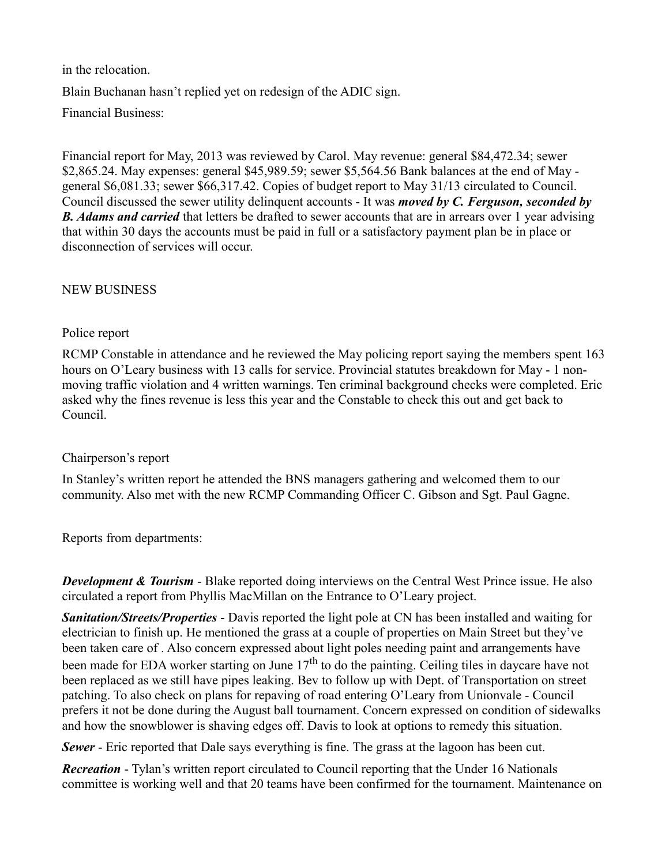in the relocation. Blain Buchanan hasn't replied yet on redesign of the ADIC sign. Financial Business:

Financial report for May, 2013 was reviewed by Carol. May revenue: general \$84,472.34; sewer \$2,865.24. May expenses: general \$45,989.59; sewer \$5,564.56 Bank balances at the end of May general \$6,081.33; sewer \$66,317.42. Copies of budget report to May 31/13 circulated to Council. Council discussed the sewer utility delinquent accounts - It was *moved by C. Ferguson, seconded by* **B.** Adams and carried that letters be drafted to sewer accounts that are in arrears over 1 year advising that within 30 days the accounts must be paid in full or a satisfactory payment plan be in place or disconnection of services will occur.

### NEW BUSINESS

#### Police report

RCMP Constable in attendance and he reviewed the May policing report saying the members spent 163 hours on O'Leary business with 13 calls for service. Provincial statutes breakdown for May - 1 nonmoving traffic violation and 4 written warnings. Ten criminal background checks were completed. Eric asked why the fines revenue is less this year and the Constable to check this out and get back to Council.

#### Chairperson's report

In Stanley's written report he attended the BNS managers gathering and welcomed them to our community. Also met with the new RCMP Commanding Officer C. Gibson and Sgt. Paul Gagne.

Reports from departments:

*Development & Tourism* - Blake reported doing interviews on the Central West Prince issue. He also circulated a report from Phyllis MacMillan on the Entrance to O'Leary project.

*Sanitation/Streets/Properties* - Davis reported the light pole at CN has been installed and waiting for electrician to finish up. He mentioned the grass at a couple of properties on Main Street but they've been taken care of . Also concern expressed about light poles needing paint and arrangements have been made for EDA worker starting on June 17<sup>th</sup> to do the painting. Ceiling tiles in daycare have not been replaced as we still have pipes leaking. Bev to follow up with Dept. of Transportation on street patching. To also check on plans for repaving of road entering O'Leary from Unionvale - Council prefers it not be done during the August ball tournament. Concern expressed on condition of sidewalks and how the snowblower is shaving edges off. Davis to look at options to remedy this situation.

*Sewer* - Eric reported that Dale says everything is fine. The grass at the lagoon has been cut.

*Recreation* - Tylan's written report circulated to Council reporting that the Under 16 Nationals committee is working well and that 20 teams have been confirmed for the tournament. Maintenance on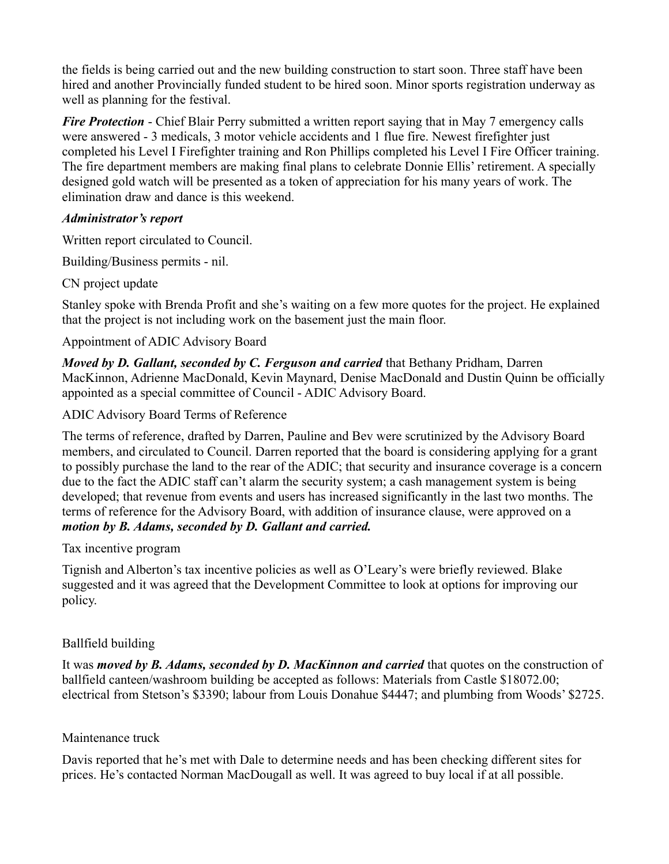the fields is being carried out and the new building construction to start soon. Three staff have been hired and another Provincially funded student to be hired soon. Minor sports registration underway as well as planning for the festival.

*Fire Protection* - Chief Blair Perry submitted a written report saying that in May 7 emergency calls were answered - 3 medicals, 3 motor vehicle accidents and 1 flue fire. Newest firefighter just completed his Level I Firefighter training and Ron Phillips completed his Level I Fire Officer training. The fire department members are making final plans to celebrate Donnie Ellis' retirement. A specially designed gold watch will be presented as a token of appreciation for his many years of work. The elimination draw and dance is this weekend.

## *Administrator's report*

Written report circulated to Council.

Building/Business permits - nil.

CN project update

Stanley spoke with Brenda Profit and she's waiting on a few more quotes for the project. He explained that the project is not including work on the basement just the main floor.

### Appointment of ADIC Advisory Board

*Moved by D. Gallant, seconded by C. Ferguson and carried* that Bethany Pridham, Darren MacKinnon, Adrienne MacDonald, Kevin Maynard, Denise MacDonald and Dustin Quinn be officially appointed as a special committee of Council - ADIC Advisory Board.

ADIC Advisory Board Terms of Reference

The terms of reference, drafted by Darren, Pauline and Bev were scrutinized by the Advisory Board members, and circulated to Council. Darren reported that the board is considering applying for a grant to possibly purchase the land to the rear of the ADIC; that security and insurance coverage is a concern due to the fact the ADIC staff can't alarm the security system; a cash management system is being developed; that revenue from events and users has increased significantly in the last two months. The terms of reference for the Advisory Board, with addition of insurance clause, were approved on a *motion by B. Adams, seconded by D. Gallant and carried.*

#### Tax incentive program

Tignish and Alberton's tax incentive policies as well as O'Leary's were briefly reviewed. Blake suggested and it was agreed that the Development Committee to look at options for improving our policy.

## Ballfield building

It was *moved by B. Adams, seconded by D. MacKinnon and carried* that quotes on the construction of ballfield canteen/washroom building be accepted as follows: Materials from Castle \$18072.00; electrical from Stetson's \$3390; labour from Louis Donahue \$4447; and plumbing from Woods' \$2725.

## Maintenance truck

Davis reported that he's met with Dale to determine needs and has been checking different sites for prices. He's contacted Norman MacDougall as well. It was agreed to buy local if at all possible.